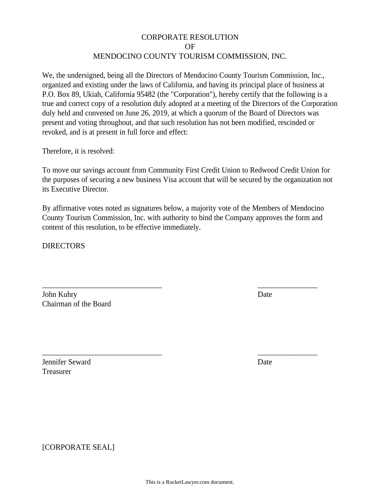## CORPORATE RESOLUTION OF MENDOCINO COUNTY TOURISM COMMISSION, INC.

We, the undersigned, being all the Directors of Mendocino County Tourism Commission, Inc., organized and existing under the laws of California, and having its principal place of business at P.O. Box 89, Ukiah, California 95482 (the "Corporation"), hereby certify that the following is a true and correct copy of a resolution duly adopted at a meeting of the Directors of the Corporation duly held and convened on June 26, 2019, at which a quorum of the Board of Directors was present and voting throughout, and that such resolution has not been modified, rescinded or revoked, and is at present in full force and effect:

Therefore, it is resolved:

To move our savings account from Community First Credit Union to Redwood Credit Union for the purposes of securing a new business Visa account that will be secured by the organization not its Executive Director.

By affirmative votes noted as signatures below, a majority vote of the Members of Mendocino County Tourism Commission, Inc. with authority to bind the Company approves the form and content of this resolution, to be effective immediately.

\_\_\_\_\_\_\_\_\_\_\_\_\_\_\_\_\_\_\_\_\_\_\_\_\_\_\_\_\_\_ \_\_\_\_\_\_\_\_\_\_\_\_\_\_\_

\_\_\_\_\_\_\_\_\_\_\_\_\_\_\_\_\_\_\_\_\_\_\_\_\_\_\_\_\_\_ \_\_\_\_\_\_\_\_\_\_\_\_\_\_\_

**DIRECTORS** 

Chairman of the Board John Kuhry Date

Treasurer **Jennifer Seward** Date

[CORPORATE SEAL]